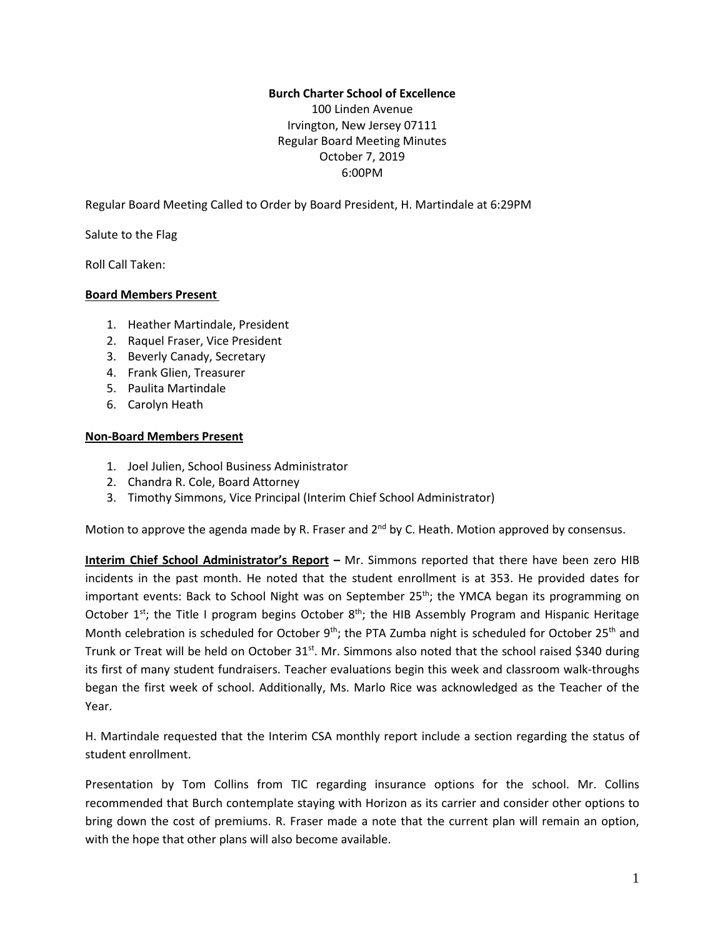# **Burch Charter School of Excellence**

100 Linden Avenue Irvington, New Jersey 07111 Regular Board Meeting Minutes October 7, 2019 6:00PM

Regular Board Meeting Called to Order by Board President, H. Martindale at 6:29PM

Salute to the Flag

Roll Call Taken:

#### **Board Members Present**

- 1. Heather Martindale, President
- 2. Raquel Fraser, Vice President
- 3. Beverly Canady, Secretary
- 4. Frank Glien, Treasurer
- 5. Paulita Martindale
- 6. Carolyn Heath

#### **Non-Board Members Present**

- 1. Joel Julien, School Business Administrator
- 2. Chandra R. Cole, Board Attorney
- 3. Timothy Simmons, Vice Principal (Interim Chief School Administrator)

Motion to approve the agenda made by R. Fraser and 2<sup>nd</sup> by C. Heath. Motion approved by consensus.

**Interim Chief School Administrator's Report –** Mr. Simmons reported that there have been zero HIB incidents in the past month. He noted that the student enrollment is at 353. He provided dates for important events: Back to School Night was on September  $25<sup>th</sup>$ ; the YMCA began its programming on October 1<sup>st</sup>; the Title I program begins October 8<sup>th</sup>; the HIB Assembly Program and Hispanic Heritage Month celebration is scheduled for October 9<sup>th</sup>; the PTA Zumba night is scheduled for October 25<sup>th</sup> and Trunk or Treat will be held on October 31<sup>st</sup>. Mr. Simmons also noted that the school raised \$340 during its first of many student fundraisers. Teacher evaluations begin this week and classroom walk-throughs began the first week of school. Additionally, Ms. Marlo Rice was acknowledged as the Teacher of the Year.

H. Martindale requested that the Interim CSA monthly report include a section regarding the status of student enrollment.

Presentation by Tom Collins from TIC regarding insurance options for the school. Mr. Collins recommended that Burch contemplate staying with Horizon as its carrier and consider other options to bring down the cost of premiums. R. Fraser made a note that the current plan will remain an option, with the hope that other plans will also become available.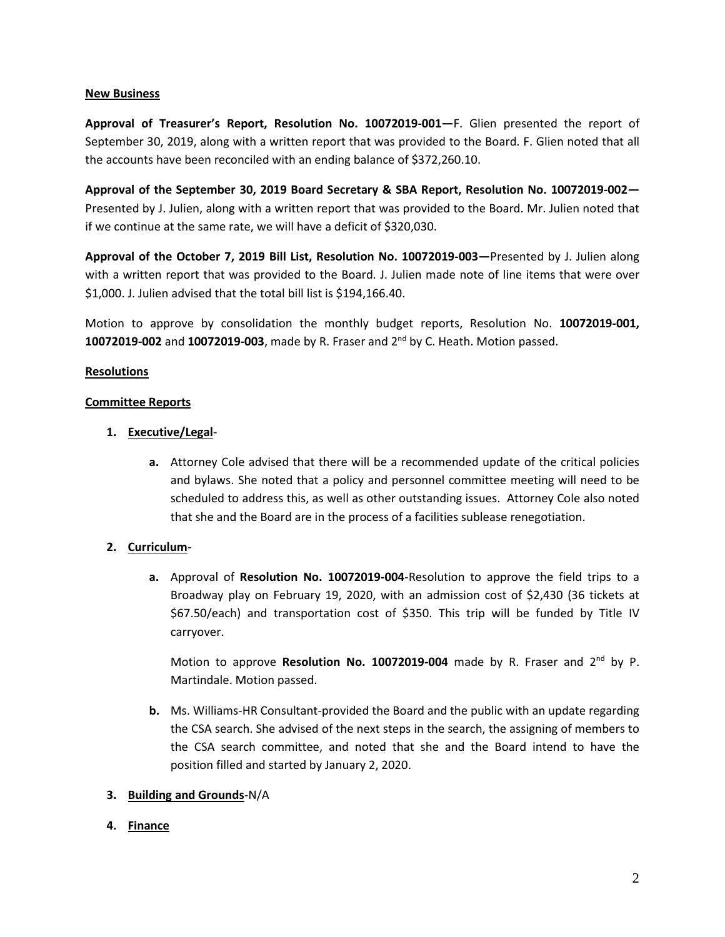#### **New Business**

**Approval of Treasurer's Report, Resolution No. 10072019-001—**F. Glien presented the report of September 30, 2019, along with a written report that was provided to the Board. F. Glien noted that all the accounts have been reconciled with an ending balance of \$372,260.10.

**Approval of the September 30, 2019 Board Secretary & SBA Report, Resolution No. 10072019-002—** Presented by J. Julien, along with a written report that was provided to the Board. Mr. Julien noted that if we continue at the same rate, we will have a deficit of \$320,030.

**Approval of the October 7, 2019 Bill List, Resolution No. 10072019-003—**Presented by J. Julien along with a written report that was provided to the Board. J. Julien made note of line items that were over \$1,000. J. Julien advised that the total bill list is \$194,166.40.

Motion to approve by consolidation the monthly budget reports, Resolution No. **10072019-001, 10072019-002** and **10072019-003**, made by R. Fraser and 2<sup>nd</sup> by C. Heath. Motion passed.

## **Resolutions**

#### **Committee Reports**

## **1. Executive/Legal**-

**a.** Attorney Cole advised that there will be a recommended update of the critical policies and bylaws. She noted that a policy and personnel committee meeting will need to be scheduled to address this, as well as other outstanding issues. Attorney Cole also noted that she and the Board are in the process of a facilities sublease renegotiation.

## **2. Curriculum**-

**a.** Approval of **Resolution No. 10072019-004**-Resolution to approve the field trips to a Broadway play on February 19, 2020, with an admission cost of \$2,430 (36 tickets at \$67.50/each) and transportation cost of \$350. This trip will be funded by Title IV carryover.

Motion to approve Resolution No. 10072019-004 made by R. Fraser and 2<sup>nd</sup> by P. Martindale. Motion passed.

**b.** Ms. Williams-HR Consultant-provided the Board and the public with an update regarding the CSA search. She advised of the next steps in the search, the assigning of members to the CSA search committee, and noted that she and the Board intend to have the position filled and started by January 2, 2020.

## **3. Building and Grounds**-N/A

## **4. Finance**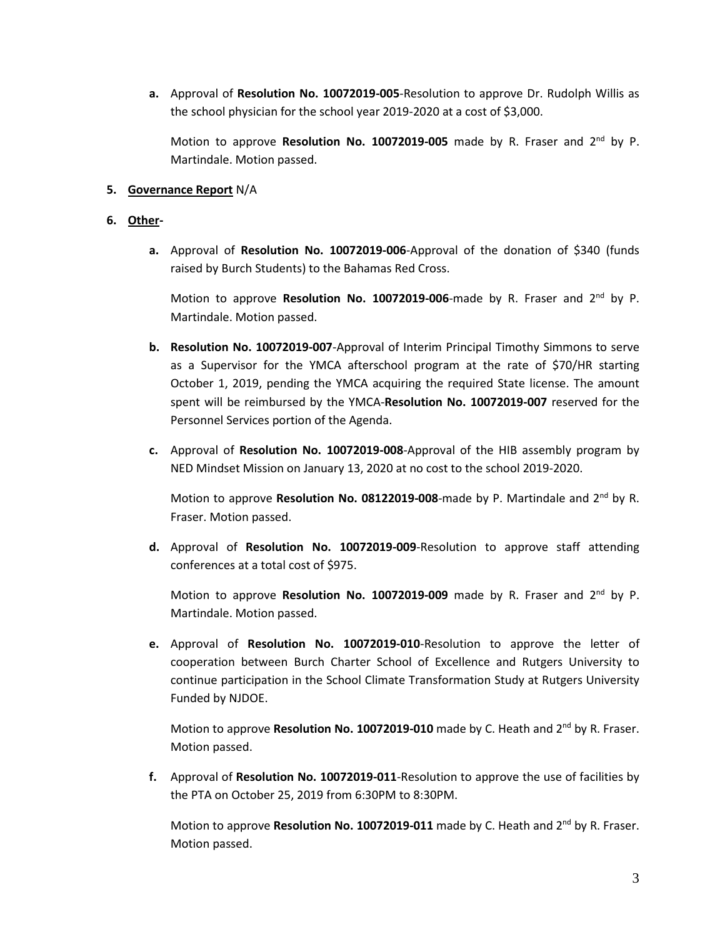**a.** Approval of **Resolution No. 10072019-005**-Resolution to approve Dr. Rudolph Willis as the school physician for the school year 2019-2020 at a cost of \$3,000.

Motion to approve Resolution No. 10072019-005 made by R. Fraser and 2<sup>nd</sup> by P. Martindale. Motion passed.

## **5. Governance Report** N/A

# **6. Other-**

**a.** Approval of **Resolution No. 10072019-006**-Approval of the donation of \$340 (funds raised by Burch Students) to the Bahamas Red Cross.

Motion to approve **Resolution No. 10072019-006**-made by R. Fraser and 2<sup>nd</sup> by P. Martindale. Motion passed.

- **b. Resolution No. 10072019-007**-Approval of Interim Principal Timothy Simmons to serve as a Supervisor for the YMCA afterschool program at the rate of \$70/HR starting October 1, 2019, pending the YMCA acquiring the required State license. The amount spent will be reimbursed by the YMCA-**Resolution No. 10072019-007** reserved for the Personnel Services portion of the Agenda.
- **c.** Approval of **Resolution No. 10072019-008**-Approval of the HIB assembly program by NED Mindset Mission on January 13, 2020 at no cost to the school 2019-2020.

Motion to approve Resolution No. 08122019-008-made by P. Martindale and 2<sup>nd</sup> by R. Fraser. Motion passed.

**d.** Approval of **Resolution No. 10072019-009**-Resolution to approve staff attending conferences at a total cost of \$975.

Motion to approve Resolution No. 10072019-009 made by R. Fraser and 2<sup>nd</sup> by P. Martindale. Motion passed.

**e.** Approval of **Resolution No. 10072019-010**-Resolution to approve the letter of cooperation between Burch Charter School of Excellence and Rutgers University to continue participation in the School Climate Transformation Study at Rutgers University Funded by NJDOE.

Motion to approve Resolution No. 10072019-010 made by C. Heath and 2<sup>nd</sup> by R. Fraser. Motion passed.

**f.** Approval of **Resolution No. 10072019-011**-Resolution to approve the use of facilities by the PTA on October 25, 2019 from 6:30PM to 8:30PM.

Motion to approve Resolution No. 10072019-011 made by C. Heath and 2<sup>nd</sup> by R. Fraser. Motion passed.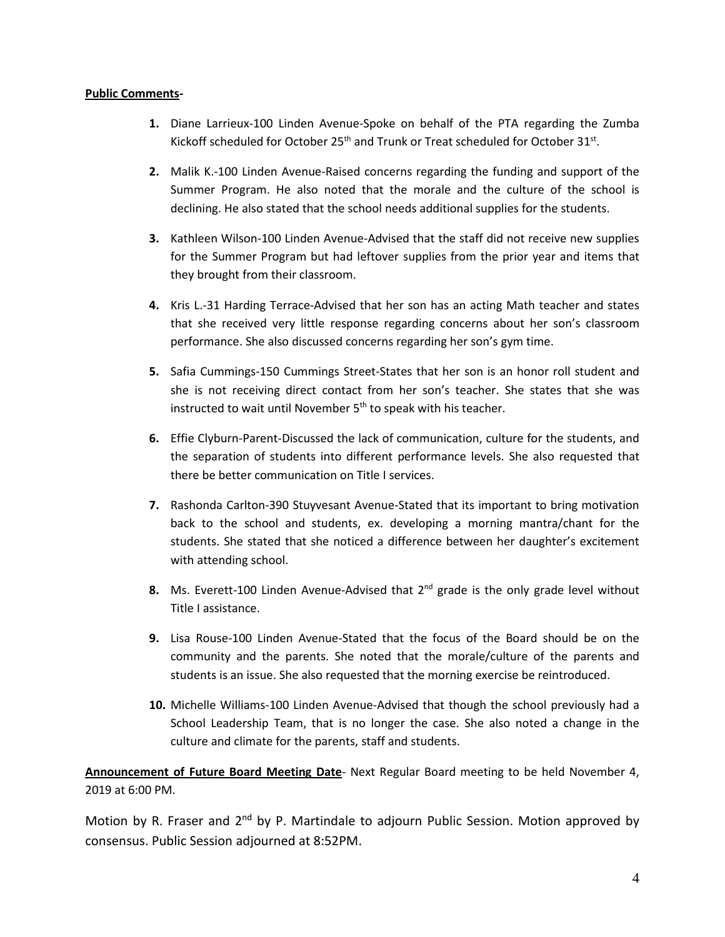## **Public Comments-**

- **1.** Diane Larrieux-100 Linden Avenue-Spoke on behalf of the PTA regarding the Zumba Kickoff scheduled for October 25<sup>th</sup> and Trunk or Treat scheduled for October 31<sup>st</sup>.
- **2.** Malik K.-100 Linden Avenue-Raised concerns regarding the funding and support of the Summer Program. He also noted that the morale and the culture of the school is declining. He also stated that the school needs additional supplies for the students.
- **3.** Kathleen Wilson-100 Linden Avenue-Advised that the staff did not receive new supplies for the Summer Program but had leftover supplies from the prior year and items that they brought from their classroom.
- **4.** Kris L.-31 Harding Terrace-Advised that her son has an acting Math teacher and states that she received very little response regarding concerns about her son's classroom performance. She also discussed concerns regarding her son's gym time.
- **5.** Safia Cummings-150 Cummings Street-States that her son is an honor roll student and she is not receiving direct contact from her son's teacher. She states that she was instructed to wait until November 5<sup>th</sup> to speak with his teacher.
- **6.** Effie Clyburn-Parent-Discussed the lack of communication, culture for the students, and the separation of students into different performance levels. She also requested that there be better communication on Title I services.
- **7.** Rashonda Carlton-390 Stuyvesant Avenue-Stated that its important to bring motivation back to the school and students, ex. developing a morning mantra/chant for the students. She stated that she noticed a difference between her daughter's excitement with attending school.
- 8. Ms. Everett-100 Linden Avenue-Advised that 2<sup>nd</sup> grade is the only grade level without Title I assistance.
- **9.** Lisa Rouse-100 Linden Avenue-Stated that the focus of the Board should be on the community and the parents. She noted that the morale/culture of the parents and students is an issue. She also requested that the morning exercise be reintroduced.
- **10.** Michelle Williams-100 Linden Avenue-Advised that though the school previously had a School Leadership Team, that is no longer the case. She also noted a change in the culture and climate for the parents, staff and students.

**Announcement of Future Board Meeting Date**- Next Regular Board meeting to be held November 4, 2019 at 6:00 PM.

Motion by R. Fraser and 2<sup>nd</sup> by P. Martindale to adjourn Public Session. Motion approved by consensus. Public Session adjourned at 8:52PM.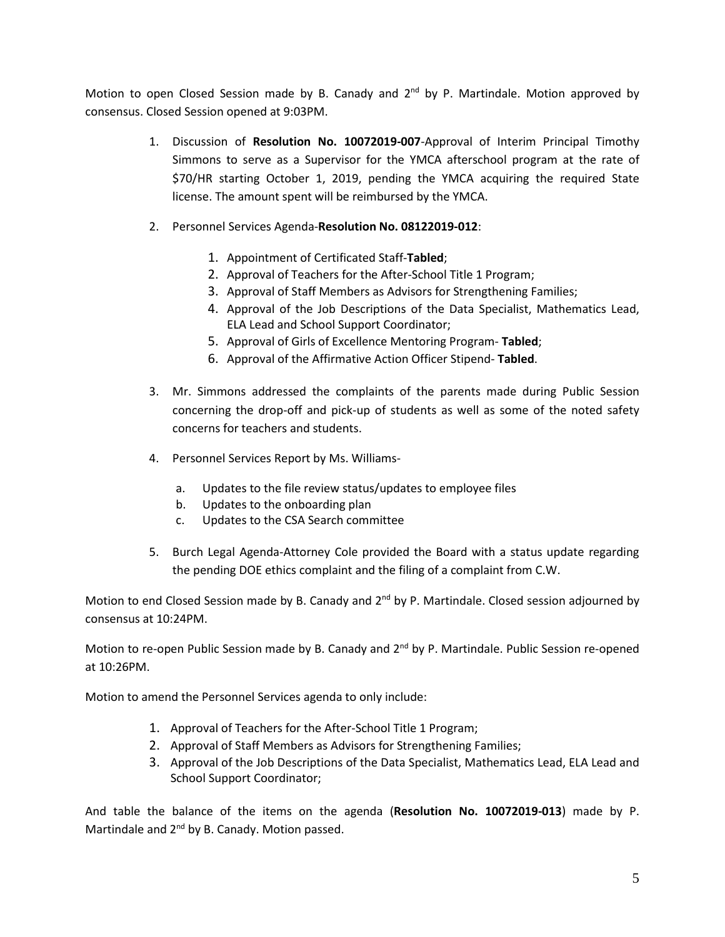Motion to open Closed Session made by B. Canady and 2<sup>nd</sup> by P. Martindale. Motion approved by consensus. Closed Session opened at 9:03PM.

- 1. Discussion of **Resolution No. 10072019-007**-Approval of Interim Principal Timothy Simmons to serve as a Supervisor for the YMCA afterschool program at the rate of \$70/HR starting October 1, 2019, pending the YMCA acquiring the required State license. The amount spent will be reimbursed by the YMCA.
- 2. Personnel Services Agenda-**Resolution No. 08122019-012**:
	- 1. Appointment of Certificated Staff-**Tabled**;
	- 2. Approval of Teachers for the After-School Title 1 Program;
	- 3. Approval of Staff Members as Advisors for Strengthening Families;
	- 4. Approval of the Job Descriptions of the Data Specialist, Mathematics Lead, ELA Lead and School Support Coordinator;
	- 5. Approval of Girls of Excellence Mentoring Program- **Tabled**;
	- 6. Approval of the Affirmative Action Officer Stipend- **Tabled**.
- 3. Mr. Simmons addressed the complaints of the parents made during Public Session concerning the drop-off and pick-up of students as well as some of the noted safety concerns for teachers and students.
- 4. Personnel Services Report by Ms. Williams
	- a. Updates to the file review status/updates to employee files
	- b. Updates to the onboarding plan
	- c. Updates to the CSA Search committee
- 5. Burch Legal Agenda-Attorney Cole provided the Board with a status update regarding the pending DOE ethics complaint and the filing of a complaint from C.W.

Motion to end Closed Session made by B. Canady and 2<sup>nd</sup> by P. Martindale. Closed session adjourned by consensus at 10:24PM.

Motion to re-open Public Session made by B. Canady and 2<sup>nd</sup> by P. Martindale. Public Session re-opened at 10:26PM.

Motion to amend the Personnel Services agenda to only include:

- 1. Approval of Teachers for the After-School Title 1 Program;
- 2. Approval of Staff Members as Advisors for Strengthening Families;
- 3. Approval of the Job Descriptions of the Data Specialist, Mathematics Lead, ELA Lead and School Support Coordinator;

And table the balance of the items on the agenda (**Resolution No. 10072019-013**) made by P. Martindale and 2<sup>nd</sup> by B. Canady. Motion passed.